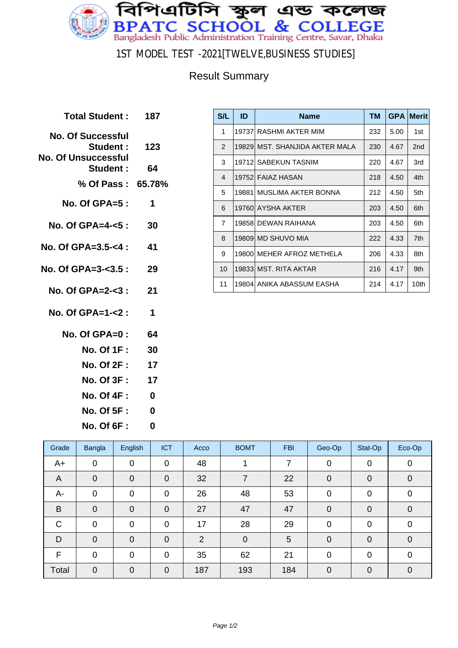

1ST MODEL TEST -2021[TWELVE,BUSINESS STUDIES]

## Result Summary

| Total Student: 187                                           |      |
|--------------------------------------------------------------|------|
| <b>No. Of Successful</b><br>Student :<br>No. Of Unsuccessful | -123 |
| Student :                                                    | 64   |
| % Of Pass: 65.78%                                            |      |
| No. Of GPA=5 :                                               | 1    |
| No. Of GPA=4-<5 :                                            | 30   |
| No. Of GPA= $3.5 - 4$ :                                      | 41   |
| No. Of GPA=3- $<$ 3.5 : 29                                   |      |
| No. Of GPA=2-<3 :                                            | 21   |
| No. Of GPA=1- $<$ 2 :                                        | 1    |
| No. Of GPA=0 :                                               | 64   |
| No. Of 1F :                                                  | 30   |
| No. Of 2F : 17                                               |      |
|                                                              |      |
| <b>No. Of 4F :</b>                                           | 0    |
| No. Of 5F :                                                  | 0    |

**No. Of 6F : 0**

| S/L            | ID | <b>Name</b>                    | <b>TM</b> | <b>GPA</b> | <b>Merit</b>    |
|----------------|----|--------------------------------|-----------|------------|-----------------|
| 1              |    | 19737 RASHMI AKTER MIM         | 232       | 5.00       | 1st             |
| $\overline{2}$ |    | 19829 MST. SHANJIDA AKTER MALA | 230       | 4.67       | 2 <sub>nd</sub> |
| 3              |    | 19712 SABEKUN TASNIM           | 220       | 4.67       | 3rd             |
| 4              |    | 19752  FAIAZ HASAN             | 218       | 4.50       | 4th             |
| 5              |    | 19881 MUSLIMA AKTER BONNA      | 212       | 4.50       | 5th             |
| 6              |    | 19760 AYSHA AKTER              | 203       | 4.50       | 6th             |
| $\overline{7}$ |    | 19858 DEWAN RAIHANA            | 203       | 4.50       | 6th             |
| 8              |    | 19809 MD SHUVO MIA             | 222       | 4.33       | 7th             |
| 9              |    | 19800 MEHER AFROZ METHELA      | 206       | 4.33       | 8th             |
| 10             |    | 19833 MST. RITA AKTAR          | 216       | 4.17       | 9th             |
| 11             |    | 19804  ANIKA ABASSUM EASHA     | 214       | 4.17       | 10th            |

| Grade          | Bangla         | English        | <b>ICT</b>     | Acco | <b>BOMT</b>    | <b>FBI</b> | Geo-Op         | Stat-Op        | Eco-Op         |
|----------------|----------------|----------------|----------------|------|----------------|------------|----------------|----------------|----------------|
| A+             | $\mathbf 0$    | $\mathbf 0$    | $\mathbf 0$    | 48   |                | 7          | $\mathbf 0$    | $\mathbf 0$    | $\mathbf 0$    |
| $\overline{A}$ | $\mathbf 0$    | $\mathbf 0$    | $\mathbf 0$    | 32   | 7              | 22         | $\mathbf 0$    | $\mathbf 0$    | $\mathbf 0$    |
| A-             | 0              | 0              | $\mathbf 0$    | 26   | 48             | 53         | $\mathbf 0$    | $\mathbf 0$    | $\overline{0}$ |
| B              | $\mathbf 0$    | $\mathbf 0$    | $\Omega$       | 27   | 47             | 47         | $\overline{0}$ | $\overline{0}$ | $\overline{0}$ |
| $\mathsf{C}$   | $\mathbf 0$    | $\overline{0}$ | $\overline{0}$ | 17   | 28             | 29         | $\overline{0}$ | 0              | 0              |
| D              | $\overline{0}$ | $\overline{0}$ | $\overline{0}$ | 2    | $\overline{0}$ | 5          | $\overline{0}$ | $\overline{0}$ | $\mathbf 0$    |
| F              | $\mathbf 0$    | $\overline{0}$ | $\overline{0}$ | 35   | 62             | 21         | 0              | $\overline{0}$ | $\overline{0}$ |
| Total          | $\mathbf 0$    | $\overline{0}$ | $\mathbf 0$    | 187  | 193            | 184        | $\mathbf 0$    | $\overline{0}$ | $\mathbf 0$    |